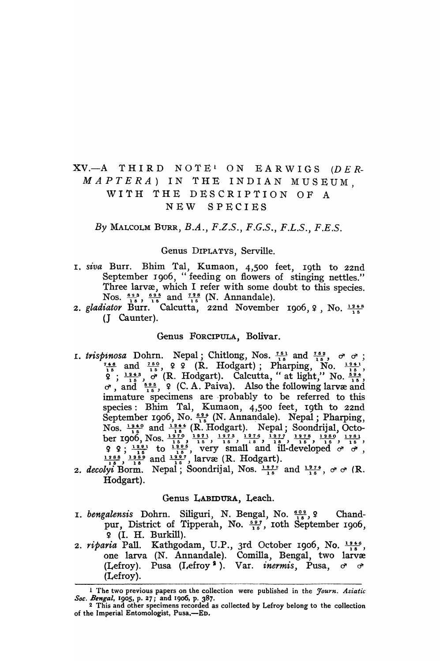# $XV. -A$  THIRD NOTE<sup>1</sup> ON EARWIGS (DER-*MAPTERA)* IN THE INDIAN MUSEUM, WITH THE DESCRIPTION OF A NEW SPECIES

*By* MALCOLM BURR, *B.A., F.Z.S., F.G.S., F.L.S., F.E.S.* 

## Genus DIPLATYS, Serville.

- I. *siva* Burr. Bhim Tal, Kumaon, 4,500 feet, 19th to 22nd September 1906, "feeding on flowers of stinging nettles." Three larvæ, which I refer with some doubt to this species.
- Nos.  $\frac{623}{16}$ ,  $\frac{625}{16}$  and  $\frac{728}{16}$  (N. Annandale).<br>2. *gladiator* Burr. Calcutta, 22nd November 1906, 9, No.  $\frac{1248}{16}$ (J Caunter).

## Genus FORCIPULA, Bolivar.

- 1. *trispinosa* Dohrn. Nepal; Chitlong, Nos.  $\frac{751}{15}$  and  $\frac{752}{15}$ ,  $\sigma$   $\sigma$ ; Genus FORCIPULA, Bolivar.<br>
inosa Dohrn. Nepal; Chitlong, Nos.  $\frac{7.51}{1.5}$  and  $\frac{7.52}{1.5}$ ,  $\sigma \sigma$ ;<br>  $\frac{7.4.6}{1.5}$  and  $\frac{7.50}{1.5}$ ,  $\varphi$  ? (R. Hodgart); Pharping, No.  $\frac{12.41}{1.5}$ ,<br>  $\varphi$ ;  $\frac{12.43}{1.5}$ , *inosa* Dohrn. Nepal; Chitlong, Nos.  $\frac{7.51}{1.5}$  and  $\frac{7.52}{1.5}$ ,  $\sigma$   $\sigma$ <br>  $\frac{4.6}{1.5}$  and  $\frac{7.50}{1.5}$ ,  $\varphi$  ? (R. Hodgart); Pharping, No.  $\frac{19.41}{1.5}$ <br>  $\varphi$ ;  $\frac{12.43}{1.5}$ ,  $\sigma$  (R. Hodgart). Calcutta  $\text{No. } \frac{15}{15}$ ,  $\sigma$ , and  $\frac{695}{15}$ , 9 (C. A. Paiva). Also the following larvæ and immature specimens are probably to be referred to this species: Bhim Tal, Kumaon, 4,500 feet, 19th to 22nd September 1906, No.  $\frac{624}{15}$  (N. Annandale). Nepal; Pharping, Nos.  $\frac{1240}{15}$  and  $\frac{1244}{15}$  (R. Hodgart). Nepal; Soondrijal, Octo-<br>ber 1906, Nos.  $\frac{1270}{15}$ ,  $\frac{1271}{15}$ ,  $\frac{1273}{15}$ ,  $\frac{1276}{15}$ ,  $\frac{1277}{15}$ ,  $\frac{1278}{15}$ ,  $\frac{1280}{15}$ ,  $\frac{1281}{15}$  $9 \t9 \t{, } \frac{1291}{16}$  to  $\frac{1295}{16}$ , very small and ill-developed  $\sigma$   $\sigma$ ,  $\frac{1288}{16}$  and  $\frac{1297}{16}$ , larvæ (R. Hodgart).
- *2. decolyi* Borm. Nepal; Soondrijal, Nos.  $\frac{1272}{15}$  and  $\frac{1274}{15}$ ,  $\sigma \sigma$  (R. Hodgart).

# Genus LABIDURA, Leach.

- 1. *bengalensis* Dohrn. Siliguri, N. Bengal, No.  $\frac{602}{16}$ , ?  $Chand$ pur, District of Tipperah, No.  $\frac{507}{15}$ , roth September 1906, <sup>~</sup>(I. H. Burkill).
- 2. *riparia* Pall. Kathgodam, U.P., 3rd October 1906, No.  $\frac{1246}{18}$ , one larva (N. Annandale). Comilla, Bengal, two larvæ (Lefroy). Pusa (I~efroy I ). Var. *inermis,* Pusa, d' d' (Lefroy).

<sup>1</sup> The two previous papers on the collection were published in the *Jouyn. Asiatic Soc. Bengal,* 1905, p. 27; and 1906, p. 387.

<sup>2</sup> This and other specimens recorded as collected by Lefroy belong to the collection of the Imperial Entomologist, Pusa,—ED.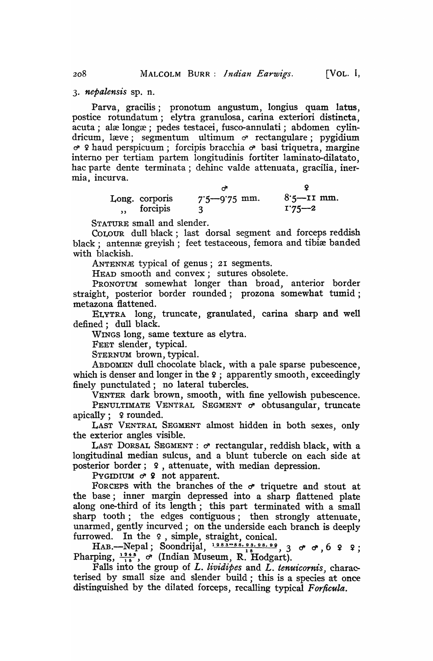*3. nepalensis* sp. n.

Parva, gracilis; pronotum angustum, longius quam latus, postice rotundatum; elytra granulosa, carina exteriori distincta, acuta; alæ longæ; pedes testacei, fusco-annulati; abdomen cylindricum, læve; segmentum ultimum  $\sigma$  rectangulare; pygidium  $\sigma$  ? haud perspicuum; forcipis bracchia  $\sigma$  basi triquetra, margine interno per tertiam partem longitudinis fortiter laminato-dilatato, hac parte dente terminata; dehinc valde attenuata, gracilia, inermia. incurva.

| $7.5 - 9.75$ mm. | $8.5$ —II mm.<br>$1.75 - 2$ |
|------------------|-----------------------------|
|                  |                             |

STATURE small and slender.

COLOUR dull black; last dorsal segment and forceps reddish black; antennæ greyish; feet testaceous, femora and tibiæ banded with blackish.

ANTENN $#$  typical of genus; 21 segments.

HEAD smooth and convex; sutures obsolete.

PRONOTUM somewhat longer than broad, anterior border straight, posterior border rounded; prozona somewhat tumid; metazona flattened.

ELYTRA long, truncate, granulated, carina sharp and well defined; dull black.

WINGS long, same texture as elytra.

FEET slender, typical.

STERNUM brown, typical.

ABDOMEN dull chocolate black, with a pale sparse pubescence, which is denser and longer in the  $\frac{1}{2}$ ; apparently smooth, exceedingly finely punctulated; no lateral tubercles.

VENTER dark brown, smooth, with fine yellowish pubescence.

PENULTIMATE VENTRAL SEGMENT  $\sigma$  obtusangular, truncate apically; 9 rounded.

LAST VENTRAL SEGMENT almost hidden in both sexes, only the exterior angles visible.

LAST DORSAL SEGMENT:  $\sigma$  rectangular, reddish black, with a longitudinal median sulcus, and a blunt tubercle on each side at posterior border; 9, attenuate, with median depression.

PYGIDIUM  $\sigma$  ? not apparent.

FORCEPS with the branches of the  $\sigma$  triquetre and stout at the base; inner margin depressed into a sharp flattened plate along one-third of its length; this part terminated with a small sharp tooth; the edges contiguous; then strongly attenuate, unarmed, gently incurved; on the underside each branch is deeply furrowed. In the 9, simple, straight, conical.

HAB. Nepal; Soondrijal,  $\frac{1283-86.98.98.99}{15}$ , 3  $\sigma$   $\sigma$ , 6  $9$   $9$ ; Pharping,  $\frac{1245}{15}$ ,  $\sigma$  (Indian Museum, R. Hodgart).

Falls into the group of *L. lividipes* and *L. tenuicornis*, characterised by small size and slender build; this is a species at once distinguished by the dilated forceps, recalling typical *Forficula.*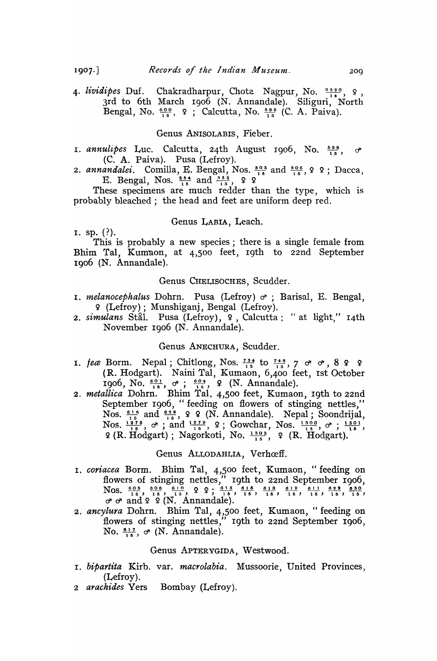4. *lividipes* Duf. Chakradharpur, Chota Nagpur, No.  $\frac{0.5,2.0}{14}$ , 9, 3rd to 6th March 1906 (N. Annandale). Siliguri, North Bengal, No.  $\frac{600}{15}$ , 9; Calcutta, No.  $\frac{500}{15}$  (C. A. Paiva).

# Genus ANISOLABIS, Fieber.

- I. *annulipes* Luc. Calcutta, 24th August 1906, No.  $\frac{598}{15}$ ,  $\sigma$ (C. A. Paiva). Pusa (Lefroy).
- 2. annandalei. Comilla, E. Bengal, Nos.  $\frac{303}{15}$  and  $\frac{306}{15}$ , 9 9; Dacca, E. Bengal, Nos.  $\frac{354}{15}$  and  $\frac{365}{15}$ , 9 9

These specimens are much redder than the type, which is probably bleached; the head and feet are uniform deep red.

# Genus LABIA, Leach.

I. sp.  $(?)$ .

This is probably a new species; there is a single female from Bhim Tal, Kum'aon, at 4,500 feet, 19th to 22nd September 1906 (N. Annandale).

# Genus CHELISOCHES, Scudder.

- I. *melanocephalus* Dohrn. Pusa (Lefroy)  $\sigma$ ; Barisal, E. Bengal, 9 (Lefroy); M unshiganj, Bengal (Lefroy).
- 2. simulans Stal. Pusa (Lefroy), 9, Calcutta: "at light," 14th November I906 (N. Annandale).

#### Genus ANECHURA, Scudder.

- 1. *feæ* Borm. Nepal; Chitlong, Nos.  $\frac{734}{15}$  to  $\frac{7}{1}$ 4  $\frac{8}{5}$ , 7  $\sigma$   $\sigma$ , 8  $\Omega$   $\Omega$ (R. Hodgart). Naini Tal, Kumaon, 6,400 feet, 1st October 1906, No.  $\frac{60!}{15}$ ,  $\sigma$ ;  $\frac{604}{15}$ , 9. (N. Annandale).
- *2. metallica* Dohrn. Bhim Tal. 4,500 feet, Kumaon, I9th to 22nd September I906, "feeding on flowers of stinging nettles," Nos.  $\frac{61.6}{1.5}$  and  $\frac{629}{1.5}$ , 9 9 (N. Annandale). Nepal; Soondrijal, *lluca* Dohrn. Bhim Tal, 4,500 feet, Kumaon, 19th to 22nd<br>September 1906, "feeding on flowers of stinging nettles,"<br>Nos.  $\frac{61.6}{1.5}$  and  $\frac{62.9}{1.5}$ , 9 9 (N. Annandale). Nepal; Soondrijal,<br>Nos.  $\frac{127.6}{1.5}$ ,  $\sigma$

# Genus ALLODAHLIA, Verhœff.

- I. *coriacea* Borrn. Bhim Tal, 4,500 feet, Kumaon, "feeding on flowers of stinging nettles," 19th to 22nd September 1906,<br>Nos.  $\frac{605}{15}$ ,  $\frac{616}{15}$ ,  $\frac{610}{15}$ ,  $\frac{613}{15}$ ,  $\frac{615}{15}$ ,  $\frac{618}{15}$ ,  $\frac{619}{15}$ ,  $\frac{611}{15}$ ,  $\frac{623}{15}$ ,  $\frac{630}{15}$ ,  $\sigma$   $\sigma$  and  $\varphi$   $\varphi$  (N. Annandale).
- *2. ancylura* Dohrn. Bhim Tal, 4,500 feet, Kumaon, "feeding on flowers of stinging nettles," 19th to 22nd September 1906, No.  $\frac{617}{16}$ ,  $\sigma$  (N. Annandale).

## Genus APTERYGIDA, Westwood.

- I. *bipartita* Kirb. var. *macrolabia.* Mussoorie, United Provinces, (Lefroy).
- *2 arachides* Vers Bombay (Lefroy).

 $1907.$